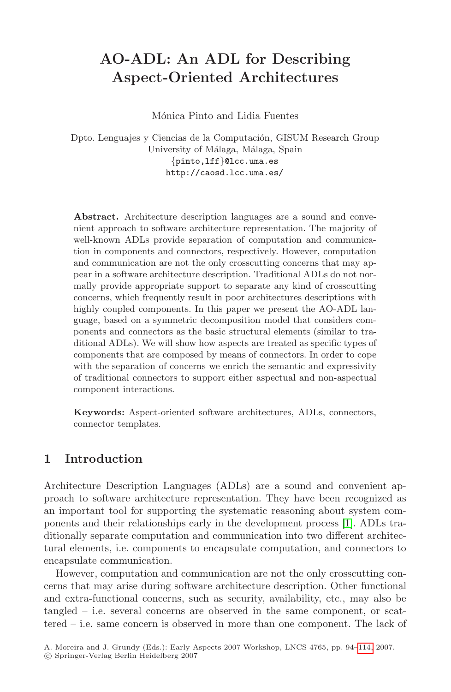# **AO-ADL: An ADL for Describing Aspect-Oriented Architectures**

Mónica Pinto and Lidia Fuentes

Dpto. Lenguajes y Ciencias de la Computación, GISUM Research Group University of Málaga, Málaga, Spain {pinto,lff}@lcc.uma.es http://caosd.lcc.uma.es/

**Abstract.** Architecture description languages are a sound and convenient approach to software architecture representation. The majority of well-known ADLs provide separation of computation and communication in components and connectors, respectively. However, computation and communication are not the only crosscutting concerns that may appear in a software architecture description. Traditional ADLs do not normally provide appropriate support to separate any kind of crosscutting concerns, which frequently result in poor architectures descriptions with highly coupled components. In this paper we present the AO-ADL language, based on a symmetric decomposition model that considers components and connectors as the basic structural elements (similar to traditional ADLs). We will show how aspects are treated as specific types of components that are composed by means of connectors. In order to cope with the separation of concerns we enrich the semantic and expressivity of traditional connectors to support either aspectual and non-aspectual component interactions.

**Keywords:** Aspect-oriented software architectures, ADLs, connectors, connector templates.

# **1 Introduction**

Architecture Description Languages (ADLs) are a sound and convenient approach to software architecture representation. They have been recognized as an important tool for supporting the systematic reasoning about system components and their relationships early in the development process [1]. ADLs traditionally separate computation and communication into two different architectural elements, i.e. components to encapsulate co[mpu](#page-20-0)tation, and connectors to encapsulate communication.

However, computation and communication are not the only crosscutting concerns that may arise during software architecture description. Other functional and extra-functional concerns, such as security, availability, etc., may also be tangled – i.e. several concerns are observed in the same component, or scattered – i.e. same concern is observed in more than one component. The lack of

A. Moreira and J. Grundy (Eds.): Early Aspects 2007 Workshop, LNCS 4765, pp. 94–114, 2007. -c Springer-Verlag Berlin Heidelberg 2007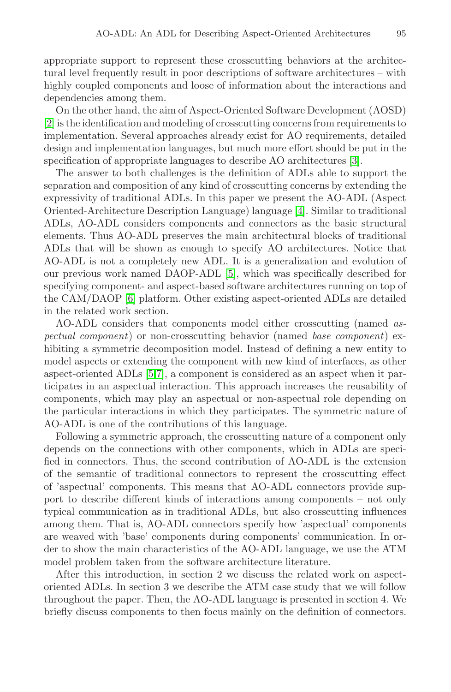appropriate support to represent these crosscut[tin](#page-19-0)g behaviors at the architectural level frequently result in poor descriptions of software architectures – with highly coupled components and loose of information about the interactions and dependencies among them.

On the other hand, the aim of Asp[ect](#page-19-1)-Oriented Software Development (AOSD) [2] is the identification and modeling of crosscutting concernsfrom requirements to implementation. Several approaches already exist for AO requirements, detailed design and implementation languages, but much more effort should be put in the specification of appropriate languages to describe AO architectures [3].

The answer to bot[h](#page-19-2) challenges is the definition of ADLs able to support the separation and composition of any kind of crosscutting concerns by extending the [e](#page-19-3)xpressivity of traditional ADLs. In this paper we present the AO-ADL (Aspect Oriented-Architecture Description Language) language [4]. Similar to traditional ADLs, AO-ADL considers components and connectors as the basic structural elements. Thus AO-ADL preserves the main architectural blocks of traditional ADLs that will be shown as enough to specify AO architectures. Notice that AO-ADL is not a completely new ADL. It is a generalization and evolution of our [p](#page-19-2)[re](#page-19-4)vious work named DAOP-ADL [5], which was specifically described for specifying component- and aspect-based software architectures running on top of the CAM/DAOP [6] platform. Other existing aspect-oriented ADLs are detailed in the related work section.

AO-ADL considers that components model either crosscutting (named aspectual component) or non-crosscutting behavior (named base component) exhibiting a symmetric decomposition model. Instead of defining a new entity to model aspects or extending the component with new kind of interfaces, as other aspect-oriented ADLs [5,7], a component is considered as an aspect when it participates in an aspectual interaction. This approach increases the reusability of components, which may play an aspectual or non-aspectual role depending on the particular interactions in which they participates. The symmetric nature of AO-ADL is one of the contributions of this language.

Following a symmetric approach, the crosscutting nature of a component only depends on the connections with other components, which in ADLs are specified in connectors. Thus, the second contribution of AO-ADL is the extension of the semantic of traditional connectors to represent the crosscutting effect of 'aspectual' components. This means that AO-ADL connectors provide support to describe different kinds of interactions among components – not only typical communication as in traditional ADLs, but also crosscutting influences among them. That is, AO-ADL connectors specify how 'aspectual' components are weaved with 'base' components during components' communication. In order to show the main characteristics of the AO-ADL language, we use the ATM model problem taken from the software architecture literature.

After this introduction, in section 2 we discuss the related work on aspectoriented ADLs. In section 3 we describe the ATM case study that we will follow throughout the paper. Then, the AO-ADL language is presented in section 4. We briefly discuss components to then focus mainly on the definition of connectors.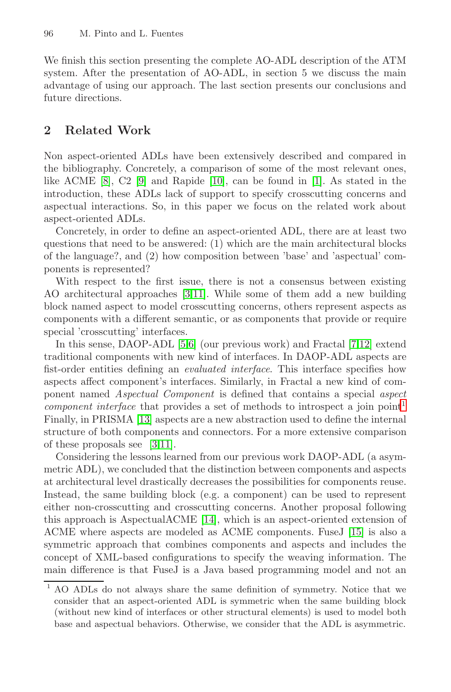We finish this section presenting the complete AO-ADL description of the ATM system. After the presentation of AO-ADL, in section 5 we discuss the main a[dv](#page-19-5)antage of usin[g o](#page-19-6)ur approach. The l[ast](#page-19-7) section presents our conclusions and future directions.

# **2 Related Work**

Non aspect-oriented ADLs have been extensively described and compared in the bibliography. Concretely, a comparison of some of the most relevant ones, like ACME [8], C2 [9] and Rapide [10], can be found in [1]. As stated in the introductio[n,](#page-19-0) [the](#page-19-8)se ADLs lack of support to specify crosscutting concerns and aspectual interactions. So, in this paper we focus on the related work about aspect-oriented ADLs.

Concretely, in order to define an aspect-oriented ADL, there are at least two questions [th](#page-19-2)[at](#page-19-3) need to be answered: (1) which a[re](#page-19-4) [the](#page-19-9) main architectural blocks of the language?, and (2) how composition between 'base' and 'aspectual' components is represented?

With respect to the first issue, there is not a consensus between existing AO architectural approaches [3,11]. While some of them add a new building block named aspect to model crosscutting concerns, others [re](#page-2-0)present aspects as c[omp](#page-19-10)onents with a different semantic, or as components that provide or require special 'crosscutting' interfaces.

I[n t](#page-19-0)[his](#page-19-8) sense, DAOP-ADL [5,6] (our previous work) and Fractal [7,12] extend traditional components with new kind of interfaces. In DAOP-ADL aspects are fist-order entities defining an evaluated interface. This interface specifies how aspects affect component's interfaces. Similarly, in Fractal a new kind of component named Aspectual Component is defined that contains a special aspect *component interface* that provides a set of methods to introspect a join point<sup>1</sup> Finally, in PRI[SMA](#page-19-11) [13] aspects are a new abstraction used to define the internal structure of both components and connectors. F[or a](#page-20-1) more extensive comparison of these proposals see [3,11].

<span id="page-2-0"></span>Considering the lessons learned from our previous work DAOP-ADL (a asymmetric ADL), we concluded that the distinction between components and aspects at architectural level drastically decreases the possibilities for components reuse. Instead, the same building block (e.g. a component) can be used to represent either non-crosscutting and crosscutting concerns. Another proposal following this approach is AspectualACME [14], which is an aspect-oriented extension of ACME where aspects are modeled as ACME components. FuseJ [15] is also a symmetric approach that combines components and aspects and includes the concept of XML-based configurations to specify the weaving information. The main difference is that FuseJ is a Java based programming model and not an

<sup>&</sup>lt;sup>1</sup> AO ADLs do not always share the same definition of symmetry. Notice that we consider that an aspect-oriented ADL is symmetric when the same building block (without new kind of interfaces or other structural elements) is used to model both base and aspectual behaviors. Otherwise, we consider that the ADL is asymmetric.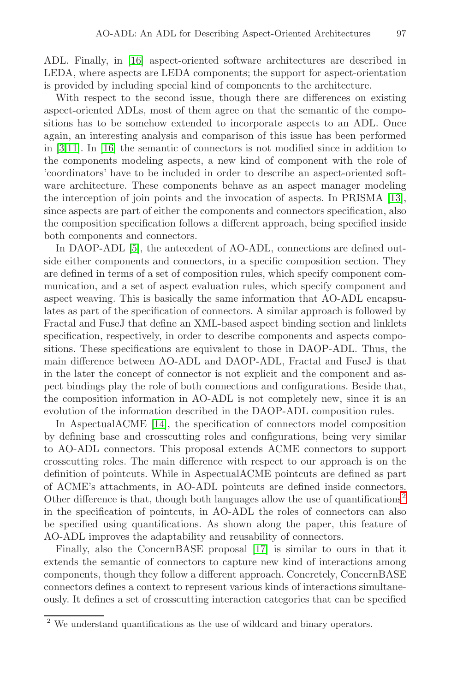ADL. Finally, in [16] aspect-oriented software architectures are described in LEDA, where aspects are LEDA components; the support for aspect-orientation is provided by including special kind of components to the architecture.

With respect to the second issue, though there are [diff](#page-19-10)erences on existing aspect-oriented ADLs, most of them agree on that the semantic of the compositions has to be somehow extended to incorporate aspects to an ADL. Once again, an interesting analysis and comparison of this issue has been performed [in](#page-19-2) [3,11]. In [16] the semantic of connectors is not modified since in addition to the components modeling aspects, a new kind of component with the role of 'coordinators' have to be included in order to describe an aspect-oriented software architecture. These components behave as an aspect manager modeling the interception of join points and the invocation of aspects. In PRISMA [13], since aspects are part of either the components and connectors specification, also the composition specification follows a different approach, being specified inside both components and connectors.

In DAOP-ADL [5], the antecedent of AO-ADL, connections are defined outside either components and connectors, in a specific composition section. They are defined in terms of a set of composition rules, which specify component communication, and a set of aspect evaluation rules, which specify component and aspect weaving. This is basically the same information that AO-ADL encapsulates as part of the specification of connectors. A similar approach is followed by Frac[tal a](#page-19-11)nd FuseJ that define an XML-based aspect binding section and linklets specification, respectively, in order to describe components and aspects compositions. These specifications are equivalent to those in DAOP-ADL. Thus, the main difference between AO-ADL and DAOP-ADL, Fractal and FuseJ is that in the later the concept of connector is not explicit and the component and aspect bindings play the role of both connections and configurations. Beside that, the composition information in AO-ADL is not completel[y](#page-3-0) new, since it is an evolution of the information described in the DAOP-ADL composition rules.

In AspectualACME [14], the specification of connectors model composition by defining base and crosscutting roles and configurations, being very similar to AO-ADL connectors. T[his](#page-20-2) proposal extends ACME connectors to support crosscutting roles. The main difference with respect to our approach is on the definition of pointcuts. While in AspectualACME pointcuts are defined as part of ACME's attachments, in AO-ADL pointcuts are defined inside connectors. Other difference is that, though both languages allow the use of quantifications<sup>2</sup> in the specification of pointcuts, in AO-ADL the roles of connectors can also be specified using quantifications. As shown along the paper, this feature of AO-ADL improves the adaptability and reusability of connectors.

<span id="page-3-0"></span>Finally, also the ConcernBASE proposal [17] is similar to ours in that it extends the semantic of connectors to capture new kind of interactions among components, though they follow a different approach. Concretely, ConcernBASE connectors defines a context to represent various kinds of interactions simultaneously. It defines a set of crosscutting interaction categories that can be specified

<sup>&</sup>lt;sup>2</sup> We understand quantifications as the use of wildcard and binary operators.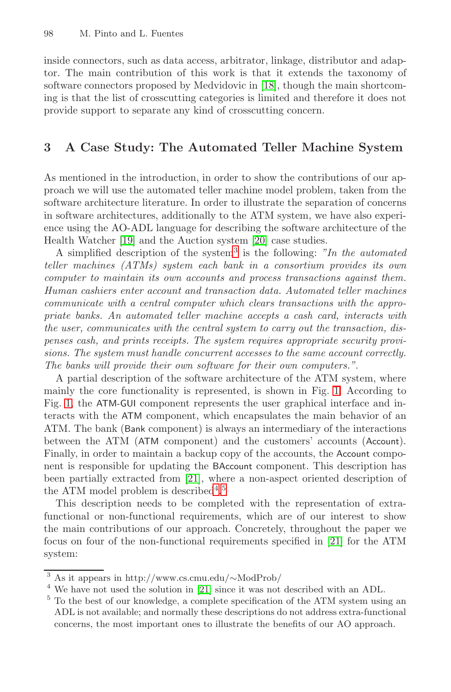inside connectors, such as data access, arbitrator, linkage, distributor and adaptor. The main contribution of this work is that it extends the taxonomy of software connectors proposed by Medvidovic in [18], though the main shortcoming is that the list of crosscutting categories is limited and therefore it does not provide support to separate any kind of crosscutting concern.

### **[3](#page-20-3) A Case Stud[y:](#page-4-0) [The](#page-20-4) Automated Teller Machine System**

As mentioned in the introduction, in order to show the contributions of our approach we will use the automated teller machine model problem, taken from the software architecture literature. In order to illustrate the separation of concerns in software architectures, additionally to the ATM system, we have also experience using the AO-ADL language for describing the software architecture of the Health Watcher [19] and the Auction system [20] case studies.

A simplified description of the system<sup>3</sup> is the following: "In the automated teller machines (ATMs) system each bank in a consortium provides its own computer to maintain its own accounts and process transactions against them. Human cashiers enter account and transacti[on](#page-5-0) data. Automated teller machines communicate with a central computer which clears transactions with the appropriate banks. An automated teller machine accepts a cash card, interacts with the user, communicates with the central system to carry out the transaction, dispenses cash, and prints receipts. The system requires appropriate security provisions. The system must handle concurrent accesses to the same account correctly. The banks will provide their own software for their own computers.".

A partial [des](#page-20-5)cription of the software architecture of the ATM system, where mainly the core f[un](#page-4-1)[c](#page-4-2)tionality is represented, is shown in Fig. 1. According to Fig. 1, the ATM-GUI component represents the user graphical interface and interacts with the ATM component, which encapsulates the main behavior of an ATM. The bank (Bank component) is always an intermediary of the interactions between the ATM (ATM component) and [the](#page-20-5) customers' accounts (Account). Finally, in order to maintain a backup copy of the accounts, the Account component is responsible for updating the BAccount component. This description has been partially extracted from [21], where a non-aspect oriented description of the ATM mod[el p](#page-20-5)roblem is described<sup>4</sup>,<sup>5</sup>

<span id="page-4-2"></span><span id="page-4-1"></span><span id="page-4-0"></span>This description needs to be completed with the representation of extrafunctional or non-functional requirements, which are of our interest to show the main contributions of our approach. Concretely, throughout the paper we focus on four of the non-functional requirements specified in [21] for the ATM system:

<sup>3</sup> As it appears in http://www.cs.cmu.edu/∼ModProb/

<sup>4</sup> We have not used the solution in [21] since it was not described with an ADL.

<sup>5</sup> To the best of our knowledge, a complete specification of the ATM system using an ADL is not available; and normally these descriptions do not address extra-functional concerns, the most important ones to illustrate the benefits of our AO approach.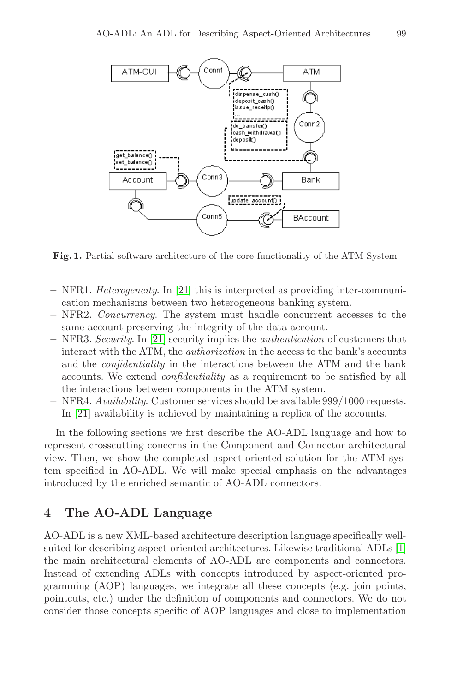

<span id="page-5-0"></span>**Fig. 1.** Partial software architecture of the core functionality of the ATM System

- **–** NFR1. Heterogeneity. In [21] this is interpreted as providing inter-communication mechanisms between two heterogeneous banking system.
- **–** NFR2. Concurrency. The system must handle concurrent accesses to the same account preserving the integrity of the data account.
- **–** NFR3. Security. In [21] security implies the authentication of customers that interact with the ATM, the authorization in the access to the bank's accounts and the confidentiality in the interactions between the ATM and the bank accounts. We extend confidentiality as a requirement to be satisfied by all the interactions between components in the ATM system.
- **–** NFR4. Availability. Customer services should be available 999/1000 requests. In [21] availability is achieved by maintaining a replica of the accounts.

In the following sections we first describe the AO-ADL language and how to represent crosscutting concerns in the Component and Co[nn](#page-19-7)ector architectural view. Then, we show the completed aspect-oriented solution for the ATM system specified in AO-ADL. We will make special emphasis on the advantages introduced by the enriched semantic of AO-ADL connectors.

## **4 The AO-ADL Language**

AO-ADL is a new XML-based architecture description language specifically wellsuited for describing aspect-oriented architectures. Likewise traditional ADLs [1] the main architectural elements of AO-ADL are components and connectors. Instead of extending ADLs with concepts introduced by aspect-oriented programming (AOP) languages, we integrate all these concepts (e.g. join points, pointcuts, etc.) under the definition of components and connectors. We do not consider those concepts specific of AOP languages and close to implementation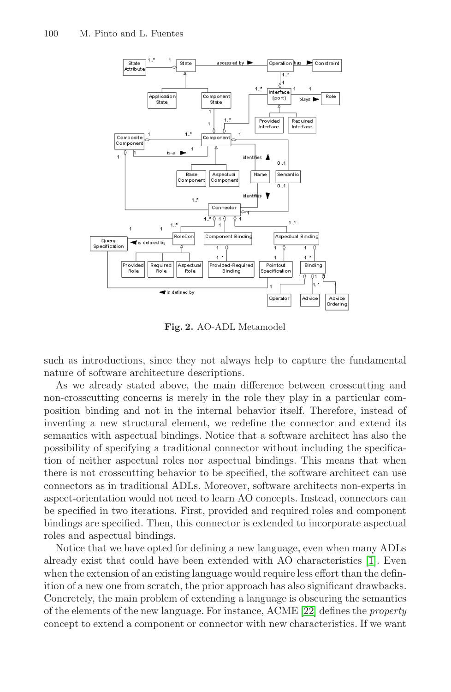

**Fig. 2.** AO-ADL Metamodel

<span id="page-6-0"></span>such as introductions, since they not always help to capture the fundamental nature of software architecture descriptions.

As we already stated above, the main difference between crosscutting and non-crosscutting concerns is merely in the role they play in a particular composition binding and not in the internal behavior itself. Therefore, instead of inventing a new structural element, we redefine the connector and extend its semantics with aspectual bindings. Notice that a software architect has also the possibility of specifying a traditional connector without including the specification of neither aspectual roles nor aspectual bindi[ng](#page-19-7)s. This means that when there is not crosscutting behavior to be specified, the software architect can use connectors as in traditional ADLs. Moreover, software architects non-experts in aspect-orientation would not need to learn AO concepts. Instead, connectors can be specified in two iterations. First, p[rov](#page-20-6)ided and required roles and component bindings are specified. Then, this connector is extended to incorporate aspectual roles and aspectual bindings.

Notice that we have opted for defining a new language, even when many ADLs already exist that could have been extended with AO characteristics [1]. Even when the extension of an existing language would require less effort than the definition of a new one from scratch, the prior approach has also significant drawbacks. Concretely, the main problem of extending a language is obscuring the semantics of the elements of the new language. For instance, ACME [22] defines the property concept to extend a component or connector with new characteristics. If we want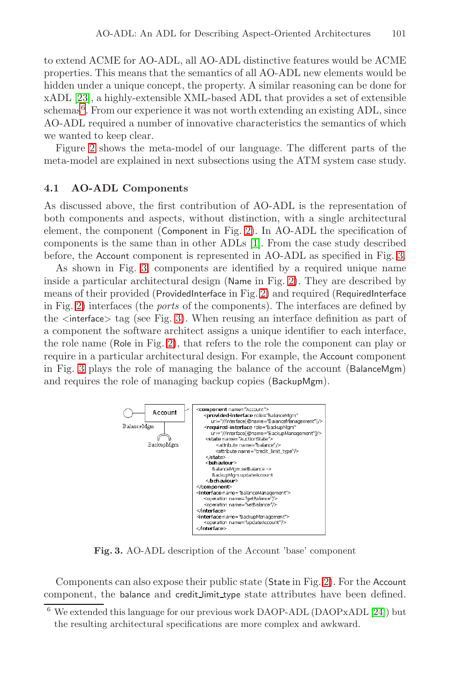to extend ACME for AO-ADL, all AO-ADL distinctive features would be ACME properties. This means that the semantics of all AO-ADL new elements would be hidden under a unique concept, the property. A similar reasoning can be done for xADL [23], a highly-extensible XML-based ADL that provides a set of extensible schemas<sup>6</sup>. From our experience it was not worth extending an existing  $ADL$ , since AO-ADL required a number of innovative characteristics the semantics of which we wanted to keep clear.

Figure 2 shows the me[ta-](#page-19-7)model of our language. The different parts of the meta-model are explained in next subsections using the A[TM](#page-7-0) system case study.

#### **4.1 AO-ADL Compone[nt](#page-6-0)s**

As discussed above, the first contribution of AO-ADL is the representation of both com[po](#page-7-0)nents and aspects, without distinction, with a single architectural element, the component (Component in Fig. 2). In AO-ADL the specification of compon[en](#page-6-0)ts is the same than in other ADLs [1]. From the case study described before, the Account component is represented in AO-ADL as specified in Fig. 3.

As shown in Fig. 3, components are identified by a required unique name inside a particular architectural design (Name in Fig. 2). They are described by means of their provided (ProvidedInterface in Fig. 2) and required (RequiredInterface in Fig. 2) interfaces (the ports of the components). The interfaces are defined by the  $\zeta$  interface tag (see Fig. 3). When reusing an interface definition as part of a component the software architect assigns a unique identifier to each interface, the role name (Role in Fig. 2), that refers to the role the component can play or require in a particular architectural design. For example, the Account component in Fig. 3 plays the role of managing the balance of the account (BalanceMgm) and requires the role of managing backup copies (BackupMgm).



**Fig. 3.** AO-ADL description of the Account 'base' component

<span id="page-7-0"></span>Components can also expose their public state (State in Fig. 2). For the Account component, the balance and credit limit type state attributes have been defined.

We extended this language for our previous work DAOP-ADL (DAOPxADL [24]) but the resulting architectural specifications are more complex and awkward.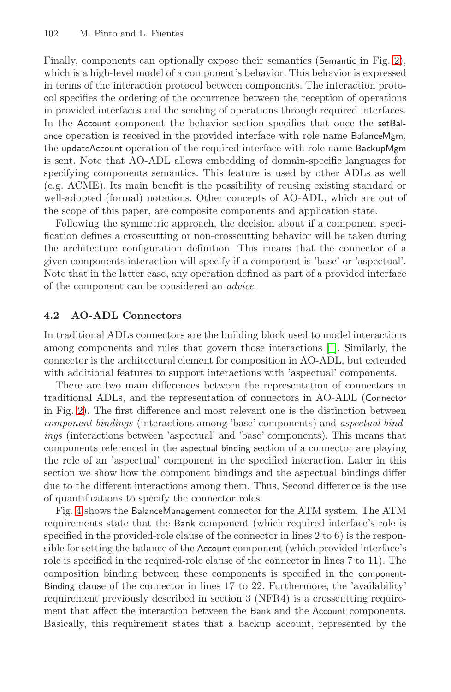Finally, components can optionally expose their semantics (Semantic in Fig. 2), which is a high-level model of a component's behavior. This behavior is expressed in terms of the interaction protocol between components. The interaction protocol specifies the ordering of the occurrence between the reception of operations in provided interfaces and the sending of operations through required interfaces. In the Account component the behavior section specifies that once the setBalance operation is received in the provided interface with role name BalanceMgm, the updateAccount operation of the required interface with role name BackupMgm is sent. Note that AO-ADL allows embedding of domain-specific languages for specifying components semantics. This feature is used by other ADLs as well (e.g. ACME). Its main benefit is the possibility of reusing existing standard or well-adopted (formal) notations. Other concepts of AO-ADL, which are out of the scope of this paper, are composite components and application state.

Following the symmetric approach, the decision about if a component specification defines a crosscutting or non-crosscutting behavior will be taken during the architecture configuration definition. [Th](#page-19-7)is means that the connector of a given components interaction will specify if a component is 'base' or 'aspectual'. Note that in the latter case, any operation defined as part of a provided interface of the component can be considered an advice.

### **4.2 AO-ADL Connectors**

In traditional ADLs connectors are the building block used to model interactions among components and rules that govern those interactions [1]. Similarly, the connector is the architectural element for composition in AO-ADL, but extended with additional features to support interactions with 'aspectual' components.

There are two main differences between the representation of connectors in traditional ADLs, and the representation of connectors in AO-ADL (Connector in Fig. 2). The first difference and most relevant one is the distinction between component bindings (interactions among 'base' components) and aspectual bindings (interactions between 'aspectual' and 'base' components). This means that components referenced in the aspectual binding section of a connector are playing the role of an 'aspectual' component in the specified interaction. Later in this section we show how the component bindings and the aspectual bindings differ due to the different interactions among them. Thus, Second difference is the use of quantifications to specify the connector roles.

Fig. 4 shows the BalanceManagement connector for the ATM system. The ATM requirements state that the Bank component (which required interface's role is specified in the provided-role clause of the connector in lines 2 to 6) is the responsible for setting the balance of the Account component (which provided interface's role is specified in the required-role clause of the connector in lines 7 to 11). The composition binding between these components is specified in the component-Binding clause of the connector in lines 17 to 22. Furthermore, the 'availability' requirement previously described in section 3 (NFR4) is a crosscutting requirement that affect the interaction between the Bank and the Account components. Basically, this requirement states that a backup account, represented by the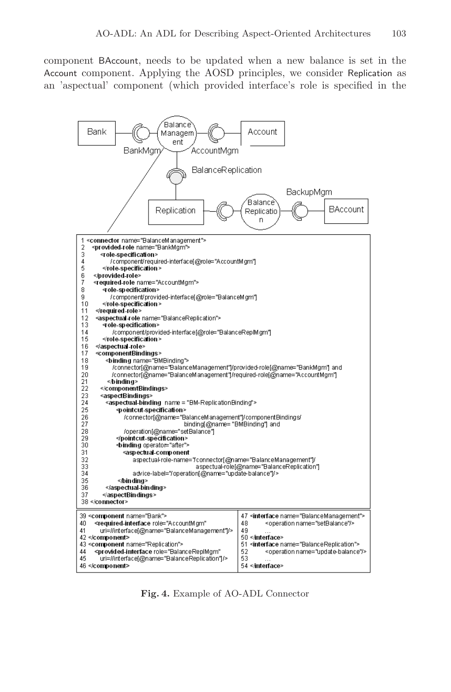component BAccount, needs to be updated when a new balance is set in the Account component. Applying the AOSD principles, we consider Replication as an 'aspectual' component (which provided interface's role is specified in the



<span id="page-9-0"></span>**Fig. 4.** Example of AO-ADL Connector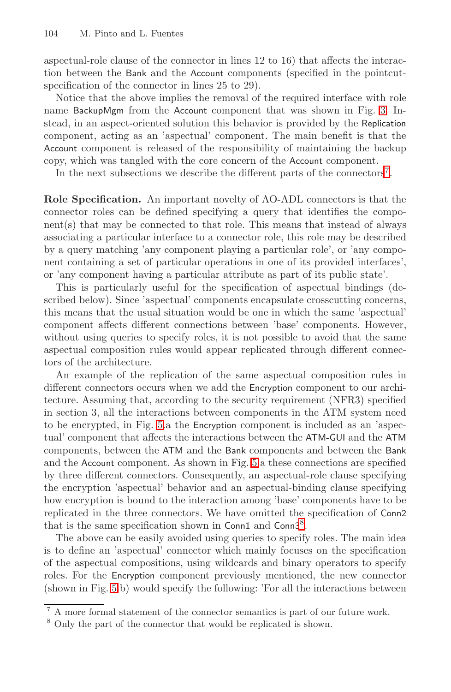aspectual-role clause of the connector in lines 12 to 16) that affects the interaction between the Bank and the Account components (s[pe](#page-10-0)cified in the pointcutspecification of the connector in lines 25 to 29).

Notice that the above implies the removal of the required interface with role name BackupMgm from the Account component that was shown in Fig. 3. Instead, in an aspect-oriented solution this behavior is provided by the Replication component, acting as an 'aspectual' component. The main benefit is that the Account component is released of the responsibility of maintaining the backup copy, which was tangled with the core concern of the Account component.

In the next subsections we describe the different parts of the connectors<sup>7</sup>.

**Role Specification.** An important novelty of AO-ADL connectors is that the connector roles can be defined specifying a query that identifies the compo $n = n$  hat may be connected to that role. This means that instead of always associating a particular interface to a connector role, this role may be described by a query matching 'any component playing a particular role', or 'any component containing a set of particular operations in one of its provided interfaces', or 'any component having a particular attribute as part of its public state'.

This is particularly useful for the specification of aspectual bindings (described below). Since 'aspectual' components encapsulate crosscutting concerns, this means that the usual situation would be one in which the same 'aspectual' comp[on](#page-11-0)ent affects different connections between 'base' components. However, without using queries to specify roles, it is not possible to avoid that the same aspectual composition rules would appear replicated through different connectors of the architecture.

An example of the rep[lic](#page-11-0)ation of the same aspectual composition rules in different connectors occurs when we add the Encryption component to our architecture. Assuming that, according to the security requirement (NFR3) specified in section 3, all the interactions between components in the ATM system need to be encrypted, in Fig. 5.a the Encr[yp](#page-10-1)tion component is included as an 'aspectual' component that affects the interactions between the ATM-GUI and the ATM components, between the ATM and the Bank components and between the Bank and the Account component. As shown in Fig. 5.a these connections are specified by three different connectors. Consequently, an aspectual-role clause specifying the encryption 'aspectual' behavior and an aspectual-binding clause specifying how encryption is bound to the interaction among 'base' components have to be replicated in the three connectors. We have omitted the specification of Conn2 that is the same specification shown in Conn1 and Conn $3^8$ .

<span id="page-10-1"></span><span id="page-10-0"></span>The above can be easily avoided using queries to specify roles. The main idea is to define an 'aspectual' connector which mainly focuses on the specification of the aspectual compositions, using wildcards and binary operators to specify roles. For the Encryption component previously mentioned, the new connector (shown in Fig. 5.b) would specify the following: 'For all the interactions between

<sup>7</sup> A more formal statement of the connector semantics is part of our future work.

<sup>8</sup> Only the part of the connector that would be replicated is shown.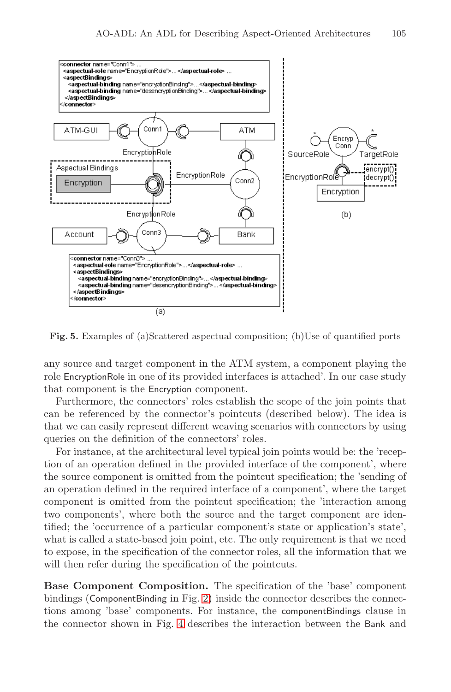

<span id="page-11-0"></span>**Fig. 5.** Examples of (a)Scattered aspectual composition; (b)Use of quantified ports

any source and target component in the ATM system, a component playing the role EncryptionRole in one of its provided interfaces is attached'. In our case study that component is the Encryption component.

Furthermore, the connectors' roles establish the scope of the join points that can be referenced by the connector's pointcuts (described below). The idea is that we can easily represent different weaving scenarios with connectors by using queries on the definition of the connectors' roles.

For instance, at the architectural level typical join points would be: the 'reception of an operation defined in the provided interface of the component', where the source component is omitted from the pointcut specification; the 'sending of an operation defined in the required interface of a component', where the target component is o[m](#page-6-0)itted from the pointcut specification; the 'interaction among two components', where both the source and the target component are identified; the ['o](#page-9-0)ccurrence of a particular component's state or application's state', what is called a state-based join point, etc. The only requirement is that we need to expose, in the specification of the connector roles, all the information that we will then refer during the specification of the pointcuts.

**Base Component Composition.** The specification of the 'base' component bindings (ComponentBinding in Fig. 2) inside the connector describes the connections among 'base' components. For instance, the componentBindings clause in the connector shown in Fig. 4 describes the interaction between the Bank and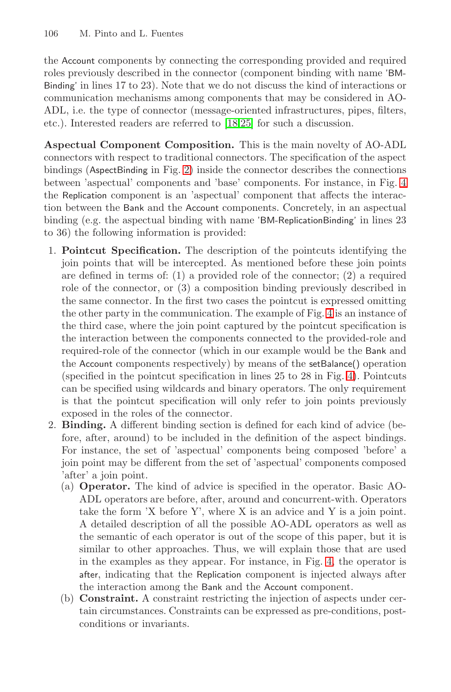the Account components by connecting the corresponding provided and required roles previo[us](#page-6-0)ly described in the connector (component binding with name 'BM-Binding' in lines 17 to 23). Note that we do not discuss the k[ind](#page-9-0) of interactions or communication mechanisms among components that may be considered in AO-ADL, i.e. the type of connector (message-oriented infrastructures, pipes, filters, etc.). Interested readers are referred to [18,25] for such a discussion.

**Aspectual Component Composition.** This is the main novelty of AO-ADL connectors with respect to traditional connectors. The specification of the aspect bindings (AspectBinding in Fig. 2) inside the connector describes the connections between 'aspectual' components and 'base' components. For instance, in Fig. 4 the Replication component is an 'aspectual' component that affects the interaction between the Bank and the Account components. Concretely, in an aspectual binding (e.g. the aspectual binding with n[am](#page-9-0)e 'BM-ReplicationBinding' in lines 23 to 36) the following information is provided:

- 1. **Pointcut Specification.** The description of the pointcuts identifying the join points that will be intercepted. As mentioned before these join points are defined in terms of: (1) a provided role [of](#page-9-0) the connector; (2) a required role of the connector, or (3) a composition binding previously described in the same connector. In the first two cases the pointcut is expressed omitting the other party in the communication. The example of Fig. 4 is an instance of the third case, where the join point captured by the pointcut specification is the interaction between the components connected to the provided-role and required-role of the connector (which in our example would be the Bank and the Account components respectively) by means of the setBalance() operation (specified in the pointcut specification in lines 25 to 28 in Fig. 4). Pointcuts can be specified using wildcards and binary operators. The only requirement is that the pointcut specification will only refer to join points previously exposed in the roles of the connector.
- 2. **Binding.** A different binding section is defined for each kind of advice (before, after, around) to be included in the definition of the aspect bindings. For instance, the set of 'aspectual' components being composed 'before' a join point may be different from the set [o](#page-9-0)f 'aspectual' components composed 'after' a join point.
	- (a) **Operator.** The kind of advice is specified in the operator. Basic AO-ADL operators are before, after, around and concurrent-with. Operators take the form 'X before Y', where X is an advice and Y is a join point. A detailed description of all the possible AO-ADL operators as well as the semantic of each operator is out of the scope of this paper, but it is similar to other approaches. Thus, we will explain those that are used in the examples as they appear. For instance, in Fig. 4, the operator is after, indicating that the Replication component is injected always after the interaction among the Bank and the Account component.
	- (b) **Constraint.** A constraint restricting the injection of aspects under certain circumstances. Constraints can be expressed as pre-conditions, postconditions or invariants.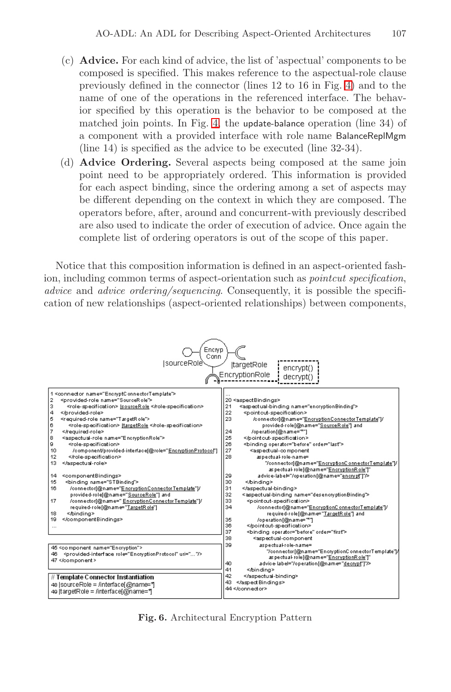- (c) **Advice.** For each kind of advice, the list of 'aspectual' components to be composed is specified. This makes reference to the aspectual-role clause previously defined in the connector (lines 12 to 16 in Fig. 4) and to the name of one of the operations in the referenced interface. The behavior specified by this operation is the behavior to be composed at the matched join points. In Fig. 4, the update-balance operation (line 34) of a component with a provided interface with role name BalanceReplMgm (line 14) is specified as the advice to be executed (line 32-34).
- (d) **Advice Ordering.** Several aspects being composed at the same join point need to be appropriately ordered. This information is provided for each aspect binding, since the ordering among a set of aspects may be different depending on the context in which they are composed. The operators before, after, around and concurrent-with previously described are also used to indicate the order of execution of advice. Once again the complete list of ordering operators is out of the scope of this paper.

Notice that this composition information is defined in an aspect-oriented fashion, including common terms of aspect-orientation such as pointcut specification, advice and advice ordering/sequencing. Consequently, it is possible the specification of new relationships (aspect-oriented relationships) between components,



<span id="page-13-0"></span>**Fig. 6.** Architectural Encryption Pattern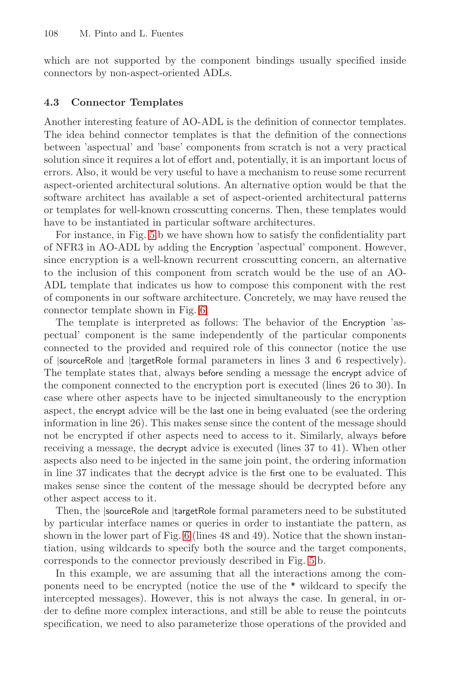which are not supported by the component bindings usually specified inside connectors by non-aspect-oriented ADLs.

#### **4.3 Connector Templates**

Another interesting feature of AO-ADL is the definition of connector templates. The [id](#page-11-0)ea behind connector templates is that the definition of the connections between 'aspectual' and 'base' components from scratch is not a very practical solution since it requires a lot of effort and, potentially, it is an important locus of errors. Also, it would be very useful to have a mechanism to reuse some recurrent aspect-oriented architectural solutions. An alternative option would be that the software architect has available a set of aspect-oriented architectural patterns or templates fo[r w](#page-13-0)ell-known crosscutting concerns. Then, these templates would have to be instantiated in particular software architectures.

For instance, in Fig. 5.b we have shown how to satisfy the confidentiality part of NFR3 in AO-ADL by adding the Encryption 'aspectual' component. However, since encryption is a well-known recurrent crosscutting concern, an alternative to the inclusion of this component from scratch would be the use of an AO-ADL template that indicates us how to compose this component with the rest of components in our software architecture. Concretely, we may have reused the connector template shown in Fig. 6.

The template is interpreted as follows: The behavior of the Encryption 'aspectual' component is the same independently of the particular components connected to the provided and required role of this connector (notice the use of |sourceRole and |targetRole formal parameters in lines 3 and 6 respectively). The template states that, always before sending a message the encrypt advice of the component connected to the encryption port is executed (lines 26 to 30). In case where other aspects have to be injected simultaneously to the encryption aspect, the encrypt advice will be the last one in being evaluated (see the ordering information in line 26). This makes sense since the content of the message should not be enc[ryp](#page-13-0)ted if other aspects need to access to it. Similarly, always before receiving a message, the decrypt advice is executed (lines 37 to 41). When other aspects also need to be injected in the [sam](#page-11-0)e join point, the ordering information in line 37 indicates that the decrypt advice is the first one to be evaluated. This makes sense since the content of the message should be decrypted before any other aspect access to it.

Then, the |sourceRole and |targetRole formal parameters need to be substituted by particular interface names or queries in order to instantiate the pattern, as shown in the lower part of Fig. 6 (lines 48 and 49). Notice that the shown instantiation, using wildcards to specify both the source and the target components, corresponds to the connector previously described in Fig. 5.b.

In this example, we are assuming that all the interactions among the components need to be encrypted (notice the use of the \* wildcard to specify the intercepted messages). However, this is not always the case. In general, in order to define more complex interactions, and still be able to reuse the pointcuts specification, we need to also parameterize those operations of the provided and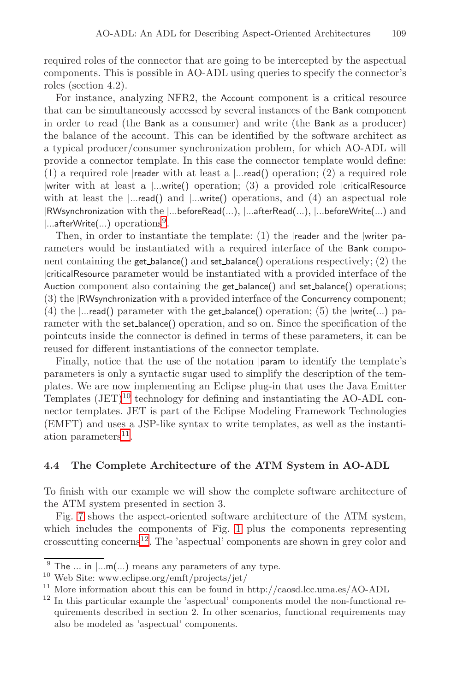required roles of the connector that are going to be intercepted by the aspectual components. This is possible in AO-ADL using queries to specify the connector's roles (section 4.2).

For instance, analyzing NFR2, the Account component is a critical resource that can be simultaneously accessed by several instances of the Bank component in ord[er](#page-15-0) to read (the Bank as a consumer) and write (the Bank as a producer) the balance of the account. This can be identified by the software architect as a typical producer/consumer synchronization problem, for which AO-ADL will provide a connector template. In this case the connector template would define: (1) a required role |reader with at least a |...read() operation; (2) a required role |writer with at least a |...write() operation; (3) a provided role |criticalResource with at least the  $\dots$ read() and  $\dots$ write() operations, and (4) an aspectual role |RWsynchronization with the |...beforeRead(...), |...afterRead(...), |...beforeWrite(...) and  $|...$ afterWrite $(...)$  operations<sup>9</sup>.

Then, in order to instantiate the template: (1) the |reader and the |writer parameters would be instantiated with a required interface of the Bank component containing the get balance() and set balance() operations respectively; (2) the |criticalResource parameter would be instantiated with a provided interface of the Auction component also containing the get balance() and set balance() operations; [\(](#page-15-1)3) the |RWsynchronization with a provided interface of the Concurrency component; (4) the  $|...$ read() parameter with the get balance() operation; (5) the  $|$ write $(...)$  parameter with the set balance() operation, and so on. Since the specification of the pointcuts inside the connector is defined in terms of these parameters, it can be reused for different instantiations of the connector template.

Finally, notice that the use of the notation |param to identify the template's parameters is only a syntactic sugar used to simplify the description of the templates. We are now implementing an Eclipse plug-in that uses the Java Emitter Templates  $(\text{JET})^{10}$  technology for defining and instantiating the AO-ADL connector templates. JET is part of the Eclipse Modeling Framework Technologies (EMFT) and uses a J[SP](#page-5-0)-like syntax to write templates, as well as the instantia[tion](#page-15-2) parameters $^{11}$ .

### **4.4 The Complete Architecture of the ATM System in AO-ADL**

<span id="page-15-1"></span><span id="page-15-0"></span>To finish with our example we will show the complete software architecture of the ATM system presented in section 3.

<span id="page-15-2"></span>Fig. 7 shows the aspect-oriented software architecture of the ATM system, which includes the components of Fig. 1 plus the components representing crosscutting concerns<sup>12</sup>. The 'aspectual' components are shown in grey color and

 $9$  The ... in  $\dots$ m(...) means any parameters of any type.

<sup>10</sup> Web Site: www.eclipse.org/emft/projects/jet/

<sup>11</sup> More information about this can be found in http://caosd.lcc.uma.es/AO-ADL

<sup>12</sup> In this particular example the 'aspectual' components model the non-functional requirements described in section 2. In other scenarios, functional requirements may also be modeled as 'aspectual' components.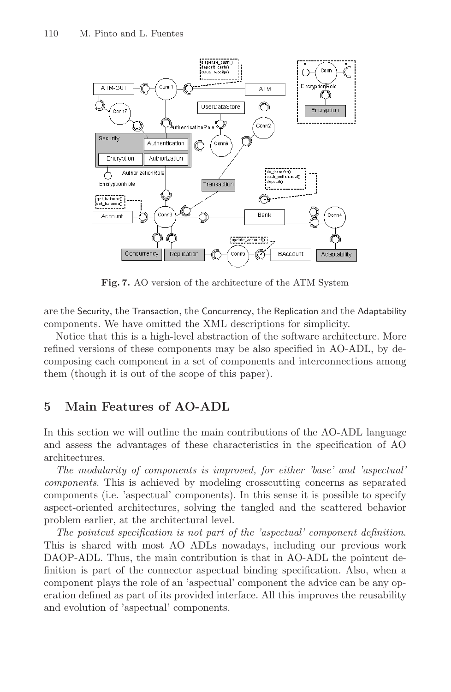

**Fig. 7.** AO version of the architecture of the ATM System

<span id="page-16-0"></span>are the Security, the Transaction, the Concurrency, the Replication and the Adaptability components. We have omitted the XML descriptions for simplicity.

Notice that this is a high-level abstraction of the software architecture. More refined versions of these components may be also specified in AO-ADL, by decomposing each component in a set of components and interconnections among them (though it is out of the scope of this paper).

# **5 Main Features of AO-ADL**

In this section we will outline the main contributions of the AO-ADL language and assess the advantages of these characteristics in the specification of AO architectures.

The modularity of components is improved, for either 'base' and 'aspectual' components. This is achieved by modeling crosscutting concerns as separated components (i.e. 'aspectual' components). In this sense it is possible to specify aspect-oriented architectures, solving the tangled and the scattered behavior problem earlier, at the architectural level.

The pointcut specification is not part of the 'aspectual' component definition. This is shared with most AO ADLs nowadays, including our previous work DAOP-ADL. Thus, the main contribution is that in AO-ADL the pointcut definition is part of the connector aspectual binding specification. Also, when a component plays the role of an 'aspectual' component the advice can be any operation defined as part of its provided interface. All this improves the reusability and evolution of 'aspectual' components.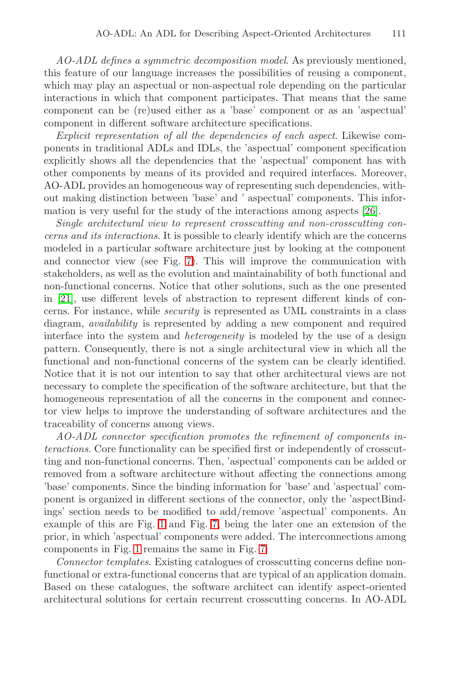AO-ADL defines a symmetric decomposition model. As previously mentioned, this feature of our language increases the possibilities of reusing a component, which may play an aspectual or non-aspectual role depending on the particular interactions in which that component participates. That means that the same component can be (re)used either as a 'base' co[mpo](#page-20-9)nent or as an 'aspectual' component in different software architecture specifications.

Explicit representation of all the dependencies of each aspect. Likewise components in traditional ADLs and IDLs, the 'aspectual' component specification explicitly s[how](#page-16-0)s all the dependencies that the 'aspectual' component has with other components by means of its provided and required interfaces. Moreover, AO-ADL provides an homogeneous way of representing such dependencies, without making distinction between 'base' and ' aspectual' components. This information is very useful for the study of the interactions among aspects [26].

Single architectural view to represent crosscutting and non-crosscutting concerns and its interactions. It is possible to clearly identify which are the concerns modeled in a particular software architecture just by looking at the component and connector view (see Fig. 7). This will improve the communication with stakeholders, as well as the evolution and maintainability of both functional and non-functional concerns. Notice that other solutions, such as the one presented in [21], use different levels of abstraction to represent different kinds of concerns. For instance, while security is represented as UML constraints in a class diagram, availability is represented by adding a new component and required interface into the system and heterogeneity is modeled by the use of a design pattern. Consequently, there is not a single architectural view in which all the functional and non-functional concerns of the system can be clearly identified. Notice that it is not our intention to say that other architectural views are not necessary to complete the specification of the software architecture, but that the homogeneous representation of all the concerns in the component and connector view helps to improve the understanding of software architectures and the trace[abi](#page-5-0)lity of co[nce](#page-16-0)rns among views.

AO-ADL connector specification promotes the refinement of components int[er](#page-5-0)actions. Core functionalit[y](#page-16-0) can be specified first or independently of crosscutting and non-functional concerns. Then, 'aspectual' components can be added or removed from a software architecture without affecting the connections among 'base' components. Since the binding information for 'base' and 'aspectual' component is organized in different sections of the connector, only the 'aspectBindings' section needs to be modified to add/remove 'aspectual' components. An example of this are Fig. 1 and Fig. 7, being the later one an extension of the prior, in which 'aspectual' components were added. The interconnections among components in Fig. 1 remains the same in Fig. 7.

Connector templates. Existing catalogues of crosscutting concerns define nonfunctional or extra-functional concerns that are typical of an application domain. Based on these catalogues, the software architect can identify aspect-oriented architectural solutions for certain recurrent crosscutting concerns. In AO-ADL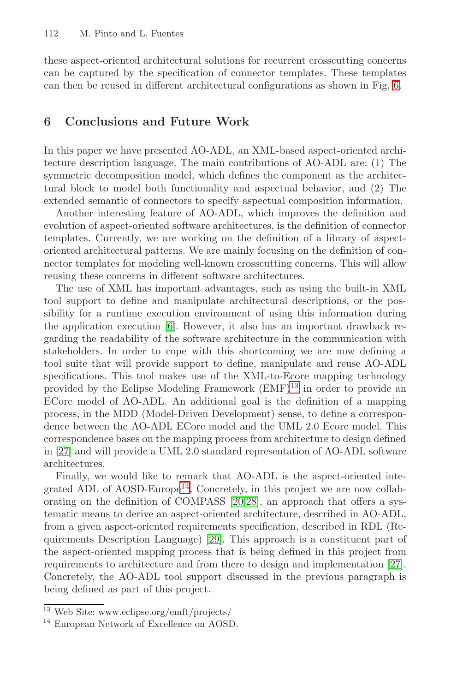these aspect-oriented architectural solutions for recurrent crosscutting concerns can be captured by the specification of connector templates. These templates can then be reused in different architectural configurations as shown in Fig. 6.

### **6 Conclusions and Future Work**

In this paper we have presented AO-ADL, an XML-based aspect-oriented architecture description language. The main contributions of AO-ADL are: (1) The symmetric decomposition model, which defines the component as the architectural block to model both functionality and aspectual behavior, and (2) The extended semantic of connectors to specify aspectual composition information.

Another interesting feature of AO-ADL, which improves the definition and evolutio[n](#page-19-3) of aspect-oriented software architectures, is the definition of connector templates. Currently, we are working on the definition of a library of aspectoriented architectural patterns. We are mainly focusing on the definition of connector templates for modeling well-known crosscutting concerns. This will allow reusing these concerns in different software architectures.

The use of XML has important [ad](#page-18-0)vantages, such as using the built-in XML tool support to define and manipulate architectural descriptions, or the possibility for a runtime execution environment of using this information during the application execution [6]. However, it also has an important drawback regarding the readability of the software architecture in the communication with stakeholders. In order to cope with this shortcoming we are now defining a tool suite that will provide support to define, manipulate and reuse AO-ADL specifications. This tool makes use of the XML-to-Ecore mapping technology provided b[y t](#page-18-1)he Eclipse Modeling Framework  $(EMF)^{13}$  in order to provide an ECore model of AO-[AD](#page-20-4)[L.](#page-20-10) An additional goal is the definition of a mapping process, in the MDD (Model-Driven Development) sense, to define a correspondence between the AO-ADL ECore model and the UML 2.0 Ecore model. This correspondence [base](#page-20-11)s on the mapping process from architecture to design defined in [27] and will provide a UML 2.0 standard representation of AO-ADL software architectures.

<span id="page-18-1"></span><span id="page-18-0"></span>Finally, we would like to remark that AO-ADL is t[he](#page-20-12) [a](#page-20-12)spect-oriented integrated ADL of AOSD-Europe<sup>14</sup>. Concretely, in this project we are now collaborating on the definition of COMPASS [20,28], an approach that offers a systematic means to derive an aspect-oriented architecture, described in AO-ADL, from a given aspect-oriented requirements specification, described in RDL (Requirements Description Language) [29]. This approach is a constituent part of the aspect-oriented mapping process that is being defined in this project from requirements to architecture and from there to design and implementation [27]. Concretely, the AO-ADL tool support discussed in the previous paragraph is being defined as part of this project.

 $\overline{^{13}$  Web Site: www.eclipse.org/emft/projects/

 $^{14}$  European Network of Excellence on AOSD.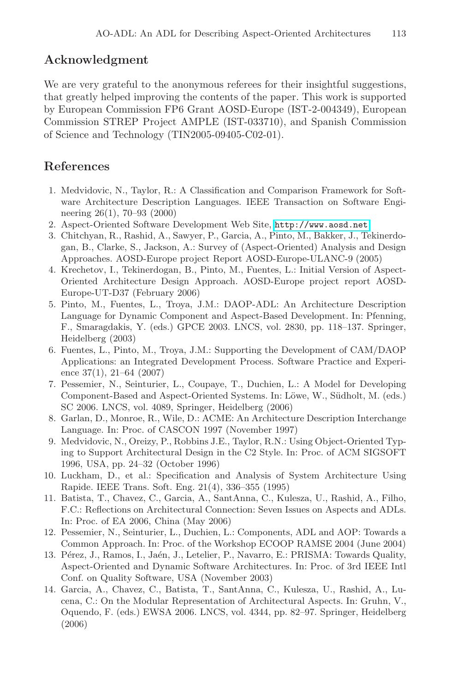# **Acknowledgment**

<span id="page-19-7"></span>We are very grateful to the anonymous referees for their insightful suggestions, that greatly helped improving the contents of the paper. This work is supported by European Commission FP6 Grant AOSD-Europe (IST-2-004349), European Commission STREP Project AMPLE (IST-033710), and Spanish Commission of Science and Technology (TI[N2005-09405-C02-01\).](http://www.aosd.net)

### <span id="page-19-2"></span><span id="page-19-1"></span><span id="page-19-0"></span>**References**

- 1. Medvidovic, N., Taylor, R.: A Classification and Comparison Framework for Software Architecture Description Languages. IEEE Transaction on Software Engineering 26(1), 70–93 (2000)
- 2. Aspect-Oriented Software Development Web Site, http://www.aosd.net
- <span id="page-19-3"></span>3. Chitchyan, R., Rashid, A., Sawyer, P., Garcia, A., Pinto, M., Bakker, J., Tekinerdogan, B., Clarke, S., Jackson, A.: Survey of (Aspect-Oriented) Analysis and Design Approaches. AOSD-Europe project Report AOSD-Europe-ULANC-9 (2005)
- <span id="page-19-4"></span>4. Krechetov, I., Tekinerdogan, B., Pinto, M., Fuentes, L.: Initial Version of Aspect-Oriented Architecture Design Approach. AOSD-Europe project report AOSD-Europe-UT-D37 (February 2006)
- 5. Pinto, M., Fuentes, L., Troya, J.M.: DAOP-ADL: An Architecture Description Language for Dynamic Component and Aspect-Based Development. In: Pfenning, F., Smaragdakis, Y. (eds.) GPCE 2003. LNCS, vol. 2830, pp. 118–137. Springer, Heidelberg (2003)
- <span id="page-19-5"></span>6. Fuentes, L., Pinto, M., Troya, J.M.: Supporting the Development of CAM/DAOP Applications: an Integrated Development Process. Software Practice and Experience 37(1), 21–64 (2007)
- <span id="page-19-8"></span><span id="page-19-6"></span>7. Pessemier, N., Seinturier, L., Coupaye, T., Duchien, L.: A Model for Developing Component-Based and Aspect-Oriented Systems. In: Löwe, W., Südholt, M. (eds.) SC 2006. LNCS, vol. 4089, Springer, Heidelberg (2006)
- 8. Garlan, D., Monroe, R., Wile, D.: ACME: An Architecture Description Interchange Language. In: Proc. of CASCON 1997 (November 1997)
- <span id="page-19-9"></span>9. Medvidovic, N., Oreizy, P., Robbins J.E., Taylor, R.N.: Using Object-Oriented Typing to Support Architectural Design in the C2 Style. In: Proc. of ACM SIGSOFT 1996, USA, pp. 24–32 (October 1996)
- <span id="page-19-10"></span>10. Luckham, D., et al.: Specification and Analysis of System Architecture Using Rapide. IEEE Trans. Soft. Eng. 21(4), 336–355 (1995)
- <span id="page-19-11"></span>11. Batista, T., Chavez, C., Garcia, A., SantAnna, C., Kulesza, U., Rashid, A., Filho, F.C.: Reflections on Architectural Connection: Seven Issues on Aspects and ADLs. In: Proc. of EA 2006, China (May 2006)
- 12. Pessemier, N., Seinturier, L., Duchien, L.: Components, ADL and AOP: Towards a Common Approach. In: Proc. of the Workshop ECOOP RAMSE 2004 (June 2004)
- 13. Pérez, J., Ramos, I., Jaén, J., Letelier, P., Navarro, E.: PRISMA: Towards Quality, Aspect-Oriented and Dynamic Software Architectures. In: Proc. of 3rd IEEE Intl Conf. on Quality Software, USA (November 2003)
- 14. Garcia, A., Chavez, C., Batista, T., SantAnna, C., Kulesza, U., Rashid, A., Lucena, C.: On the Modular Representation of Architectural Aspects. In: Gruhn, V., Oquendo, F. (eds.) EWSA 2006. LNCS, vol. 4344, pp. 82–97. Springer, Heidelberg (2006)